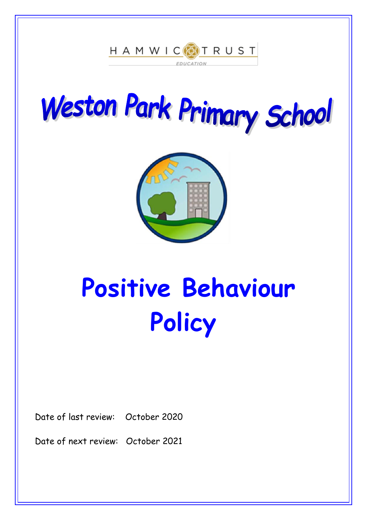





# **Positive Behaviour Policy**

Date of last review: October 2020

Date of next review: October 2021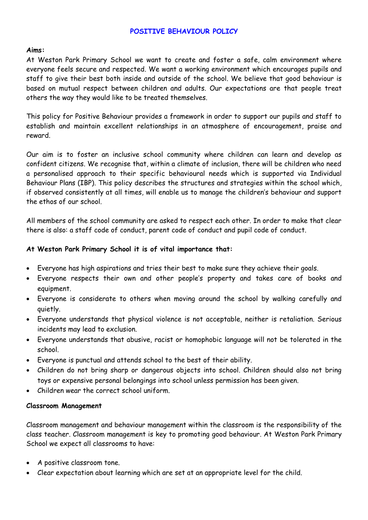# **POSITIVE BEHAVIOUR POLICY**

## **Aims:**

At Weston Park Primary School we want to create and foster a safe, calm environment where everyone feels secure and respected. We want a working environment which encourages pupils and staff to give their best both inside and outside of the school. We believe that good behaviour is based on mutual respect between children and adults. Our expectations are that people treat others the way they would like to be treated themselves.

This policy for Positive Behaviour provides a framework in order to support our pupils and staff to establish and maintain excellent relationships in an atmosphere of encouragement, praise and reward.

Our aim is to foster an inclusive school community where children can learn and develop as confident citizens. We recognise that, within a climate of inclusion, there will be children who need a personalised approach to their specific behavioural needs which is supported via Individual Behaviour Plans (IBP). This policy describes the structures and strategies within the school which, if observed consistently at all times, will enable us to manage the children's behaviour and support the ethos of our school.

All members of the school community are asked to respect each other. In order to make that clear there is also: a staff code of conduct, parent code of conduct and pupil code of conduct.

## **At Weston Park Primary School it is of vital importance that:**

- Everyone has high aspirations and tries their best to make sure they achieve their goals.
- Everyone respects their own and other people's property and takes care of books and equipment.
- Everyone is considerate to others when moving around the school by walking carefully and quietly.
- Everyone understands that physical violence is not acceptable, neither is retaliation. Serious incidents may lead to exclusion.
- Everyone understands that abusive, racist or homophobic language will not be tolerated in the school.
- Everyone is punctual and attends school to the best of their ability.
- Children do not bring sharp or dangerous objects into school. Children should also not bring toys or expensive personal belongings into school unless permission has been given.
- Children wear the correct school uniform.

### **Classroom Management**

Classroom management and behaviour management within the classroom is the responsibility of the class teacher. Classroom management is key to promoting good behaviour. At Weston Park Primary School we expect all classrooms to have:

- A positive classroom tone.
- Clear expectation about learning which are set at an appropriate level for the child.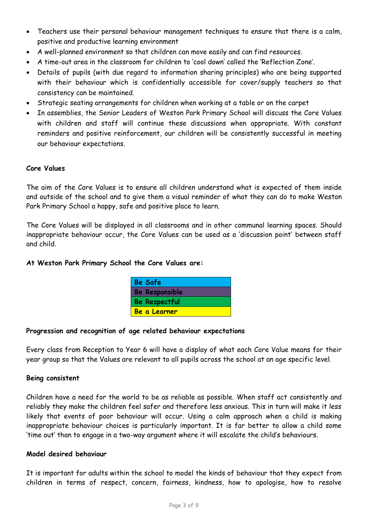- Teachers use their personal behaviour management techniques to ensure that there is a calm, positive and productive learning environment
- A well-planned environment so that children can move easily and can find resources.
- A time-out area in the classroom for children to 'cool down' called the 'Reflection Zone'.
- Details of pupils (with due regard to information sharing principles) who are being supported with their behaviour which is confidentially accessible for cover/supply teachers so that consistency can be maintained.
- Strategic seating arrangements for children when working at a table or on the carpet
- In assemblies, the Senior Leaders of Weston Park Primary School will discuss the Core Values with children and staff will continue these discussions when appropriate. With constant reminders and positive reinforcement, our children will be consistently successful in meeting our behaviour expectations.

## **Core Values**

The aim of the Core Values is to ensure all children understand what is expected of them inside and outside of the school and to give them a visual reminder of what they can do to make Weston Park Primary School a happy, safe and positive place to learn.

The Core Values will be displayed in all classrooms and in other communal learning spaces. Should inappropriate behaviour occur, the Core Values can be used as a 'discussion point' between staff and child.

### **At Weston Park Primary School the Core Values are:**

| <b>Be Safe</b>        |  |
|-----------------------|--|
| <b>Be Responsible</b> |  |
| <b>Be Respectful</b>  |  |
| Be a Learner          |  |

### **Progression and recognition of age related behaviour expectations**

Every class from Reception to Year 6 will have a display of what each Core Value means for their year group so that the Values are relevant to all pupils across the school at an age specific level.

### **Being consistent**

Children have a need for the world to be as reliable as possible. When staff act consistently and reliably they make the children feel safer and therefore less anxious. This in turn will make it less likely that events of poor behaviour will occur. Using a calm approach when a child is making inappropriate behaviour choices is particularly important. It is far better to allow a child some 'time out' than to engage in a two-way argument where it will escalate the child's behaviours.

## **Model desired behaviour**

It is important for adults within the school to model the kinds of behaviour that they expect from children in terms of respect, concern, fairness, kindness, how to apologise, how to resolve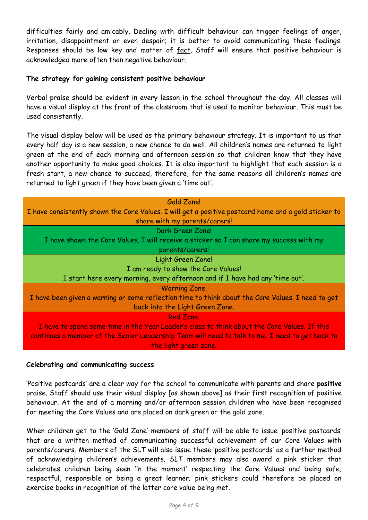difficulties fairly and amicably. Dealing with difficult behaviour can trigger feelings of anger, irritation, disappointment or even despair; it is better to avoid communicating these feelings. Responses should be low key and matter of fact. Staff will ensure that positive behaviour is acknowledged more often than negative behaviour.

## **The strategy for gaining consistent positive behaviour**

Verbal praise should be evident in every lesson in the school throughout the day. All classes will have a visual display at the front of the classroom that is used to monitor behaviour. This must be used consistently.

The visual display below will be used as the primary behaviour strategy. It is important to us that every half day is a new session, a new chance to do well. All children's names are returned to light green at the end of each morning and afternoon session so that children know that they have another opportunity to make good choices. It is also important to highlight that each session is a fresh start, a new chance to succeed, therefore, for the same reasons all children's names are returned to light green if they have been given a 'time out'.

| Gold Zone!                                                                                           |
|------------------------------------------------------------------------------------------------------|
| I have consistently shown the Core Values. I will get a positive postcard home and a gold sticker to |
| share with my parents/carers!                                                                        |
| Dark Green Zone!                                                                                     |
| I have shown the Core Values. I will receive a sticker so I can share my success with my             |
| parents/carers!                                                                                      |
| Light Green Zone!                                                                                    |
| I am ready to show the Core Values!                                                                  |
| I start here every morning, every afternoon and if I have had any 'time out'.                        |
| <b>Warning Zone.</b>                                                                                 |
| I have been given a warning or some reflection time to think about the Core Values. I need to get    |
| back into the Light Green Zone.                                                                      |
| Red Zone.                                                                                            |
| I have to spend some time in the Year Leader's class to think about the Core Values. If this         |
| continues a member of the Senior Leadership Team will need to talk to me. I need to get back to      |
| the light green zone.                                                                                |

### **Celebrating and communicating success**

'Positive postcards' are a clear way for the school to communicate with parents and share **positive** praise. Staff should use their visual display [as shown above] as their first recognition of positive behaviour. At the end of a morning and/or afternoon session children who have been recognised for meeting the Core Values and are placed on dark green or the gold zone.

When children get to the 'Gold Zone' members of staff will be able to issue 'positive postcards' that are a written method of communicating successful achievement of our Core Values with parents/carers. Members of the SLT will also issue these 'positive postcards' as a further method of acknowledging children's achievements. SLT members may also award a pink sticker that celebrates children being seen 'in the moment' respecting the Core Values and being safe, respectful, responsible or being a great learner; pink stickers could therefore be placed on exercise books in recognition of the latter core value being met.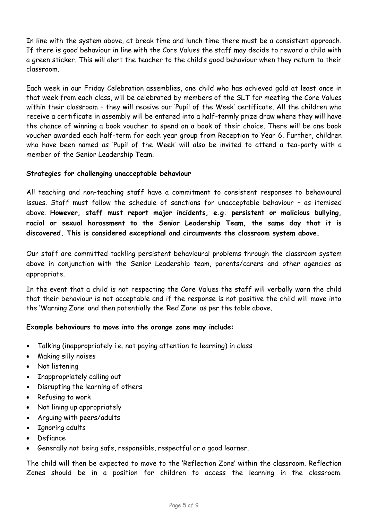In line with the system above, at break time and lunch time there must be a consistent approach. If there is good behaviour in line with the Core Values the staff may decide to reward a child with a green sticker. This will alert the teacher to the child's good behaviour when they return to their classroom.

Each week in our Friday Celebration assemblies, one child who has achieved gold at least once in that week from each class, will be celebrated by members of the SLT for meeting the Core Values within their classroom – they will receive our 'Pupil of the Week' certificate. All the children who receive a certificate in assembly will be entered into a half-termly prize draw where they will have the chance of winning a book voucher to spend on a book of their choice. There will be one book voucher awarded each half-term for each year group from Reception to Year 6. Further, children who have been named as 'Pupil of the Week' will also be invited to attend a tea-party with a member of the Senior Leadership Team.

## **Strategies for challenging unacceptable behaviour**

All teaching and non-teaching staff have a commitment to consistent responses to behavioural issues. Staff must follow the schedule of sanctions for unacceptable behaviour – as itemised above. **However, staff must report major incidents, e.g. persistent or malicious bullying, racial or sexual harassment to the Senior Leadership Team, the same day that it is discovered. This is considered exceptional and circumvents the classroom system above.** 

Our staff are committed tackling persistent behavioural problems through the classroom system above in conjunction with the Senior Leadership team, parents/carers and other agencies as appropriate.

In the event that a child is not respecting the Core Values the staff will verbally warn the child that their behaviour is not acceptable and if the response is not positive the child will move into the 'Warning Zone' and then potentially the 'Red Zone' as per the table above.

## **Example behaviours to move into the orange zone may include:**

- Talking (inappropriately i.e. not paying attention to learning) in class
- Making silly noises
- Not listening
- Inappropriately calling out
- Disrupting the learning of others
- Refusing to work
- Not lining up appropriately
- Arguing with peers/adults
- Ignoring adults
- Defiance
- Generally not being safe, responsible, respectful or a good learner.

The child will then be expected to move to the 'Reflection Zone' within the classroom. Reflection Zones should be in a position for children to access the learning in the classroom.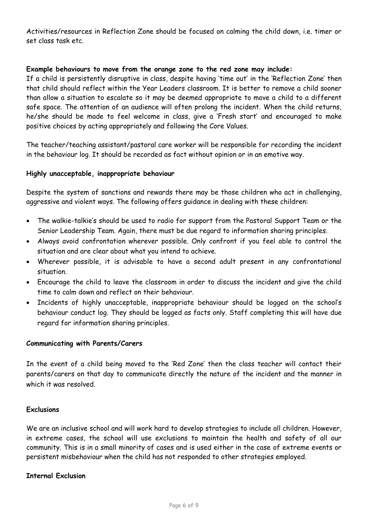Activities/resources in Reflection Zone should be focused on calming the child down, i.e. timer or set class task etc.

## **Example behaviours to move from the orange zone to the red zone may include:**

If a child is persistently disruptive in class, despite having 'time out' in the 'Reflection Zone' then that child should reflect within the Year Leaders classroom. It is better to remove a child sooner than allow a situation to escalate so it may be deemed appropriate to move a child to a different safe space. The attention of an audience will often prolong the incident. When the child returns, he/she should be made to feel welcome in class, give a 'Fresh start' and encouraged to make positive choices by acting appropriately and following the Core Values.

The teacher/teaching assistant/pastoral care worker will be responsible for recording the incident in the behaviour log. It should be recorded as fact without opinion or in an emotive way.

### **Highly unacceptable, inappropriate behaviour**

Despite the system of sanctions and rewards there may be those children who act in challenging, aggressive and violent ways. The following offers guidance in dealing with these children:

- The walkie-talkie's should be used to radio for support from the Pastoral Support Team or the Senior Leadership Team. Again, there must be due regard to information sharing principles.
- Always avoid confrontation wherever possible. Only confront if you feel able to control the situation and are clear about what you intend to achieve.
- Wherever possible, it is advisable to have a second adult present in any confrontational situation.
- Encourage the child to leave the classroom in order to discuss the incident and give the child time to calm down and reflect on their behaviour.
- Incidents of highly unacceptable, inappropriate behaviour should be logged on the school's behaviour conduct log. They should be logged as facts only. Staff completing this will have due regard for information sharing principles.

### **Communicating with Parents/Carers**

In the event of a child being moved to the 'Red Zone' then the class teacher will contact their parents/carers on that day to communicate directly the nature of the incident and the manner in which it was resolved.

## **Exclusions**

We are an inclusive school and will work hard to develop strategies to include all children. However, in extreme cases, the school will use exclusions to maintain the health and safety of all our community. This is in a small minority of cases and is used either in the case of extreme events or persistent misbehaviour when the child has not responded to other strategies employed.

## **Internal Exclusion**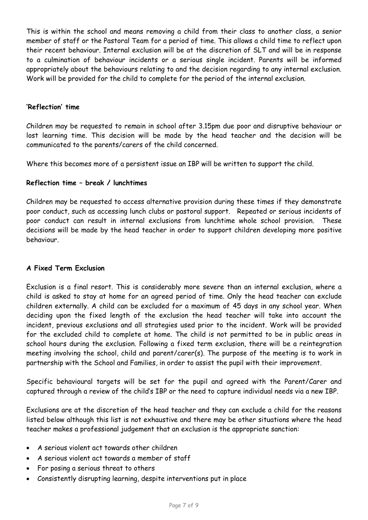This is within the school and means removing a child from their class to another class, a senior member of staff or the Pastoral Team for a period of time. This allows a child time to reflect upon their recent behaviour. Internal exclusion will be at the discretion of SLT and will be in response to a culmination of behaviour incidents or a serious single incident. Parents will be informed appropriately about the behaviours relating to and the decision regarding to any internal exclusion. Work will be provided for the child to complete for the period of the internal exclusion.

## **'Reflection' time**

Children may be requested to remain in school after 3.15pm due poor and disruptive behaviour or lost learning time. This decision will be made by the head teacher and the decision will be communicated to the parents/carers of the child concerned.

Where this becomes more of a persistent issue an IBP will be written to support the child.

# **Reflection time – break / lunchtimes**

Children may be requested to access alternative provision during these times if they demonstrate poor conduct, such as accessing lunch clubs or pastoral support. Repeated or serious incidents of poor conduct can result in internal exclusions from lunchtime whole school provision. These decisions will be made by the head teacher in order to support children developing more positive behaviour.

## **A Fixed Term Exclusion**

Exclusion is a final resort. This is considerably more severe than an internal exclusion, where a child is asked to stay at home for an agreed period of time. Only the head teacher can exclude children externally. A child can be excluded for a maximum of 45 days in any school year. When deciding upon the fixed length of the exclusion the head teacher will take into account the incident, previous exclusions and all strategies used prior to the incident. Work will be provided for the excluded child to complete at home. The child is not permitted to be in public areas in school hours during the exclusion. Following a fixed term exclusion, there will be a reintegration meeting involving the school, child and parent/carer(s). The purpose of the meeting is to work in partnership with the School and Families, in order to assist the pupil with their improvement.

Specific behavioural targets will be set for the pupil and agreed with the Parent/Carer and captured through a review of the child's IBP or the need to capture individual needs via a new IBP.

Exclusions are at the discretion of the head teacher and they can exclude a child for the reasons listed below although this list is not exhaustive and there may be other situations where the head teacher makes a professional judgement that an exclusion is the appropriate sanction:

- A serious violent act towards other children
- A serious violent act towards a member of staff
- For posing a serious threat to others
- Consistently disrupting learning, despite interventions put in place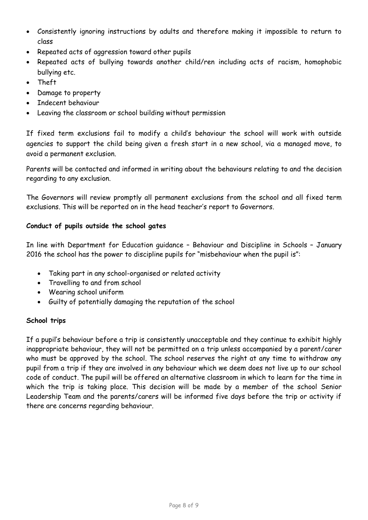- Consistently ignoring instructions by adults and therefore making it impossible to return to class
- Repeated acts of aggression toward other pupils
- Repeated acts of bullying towards another child/ren including acts of racism, homophobic bullying etc.
- Theft
- Damage to property
- Indecent behaviour
- Leaving the classroom or school building without permission

If fixed term exclusions fail to modify a child's behaviour the school will work with outside agencies to support the child being given a fresh start in a new school, via a managed move, to avoid a permanent exclusion.

Parents will be contacted and informed in writing about the behaviours relating to and the decision regarding to any exclusion.

The Governors will review promptly all permanent exclusions from the school and all fixed term exclusions. This will be reported on in the head teacher's report to Governors.

# **Conduct of pupils outside the school gates**

In line with Department for Education guidance – Behaviour and Discipline in Schools – January 2016 the school has the power to discipline pupils for "misbehaviour when the pupil is":

- Taking part in any school-organised or related activity
- Travelling to and from school
- Wearing school uniform
- Guilty of potentially damaging the reputation of the school

# **School trips**

If a pupil's behaviour before a trip is consistently unacceptable and they continue to exhibit highly inappropriate behaviour, they will not be permitted on a trip unless accompanied by a parent/carer who must be approved by the school. The school reserves the right at any time to withdraw any pupil from a trip if they are involved in any behaviour which we deem does not live up to our school code of conduct. The pupil will be offered an alternative classroom in which to learn for the time in which the trip is taking place. This decision will be made by a member of the school Senior Leadership Team and the parents/carers will be informed five days before the trip or activity if there are concerns regarding behaviour.